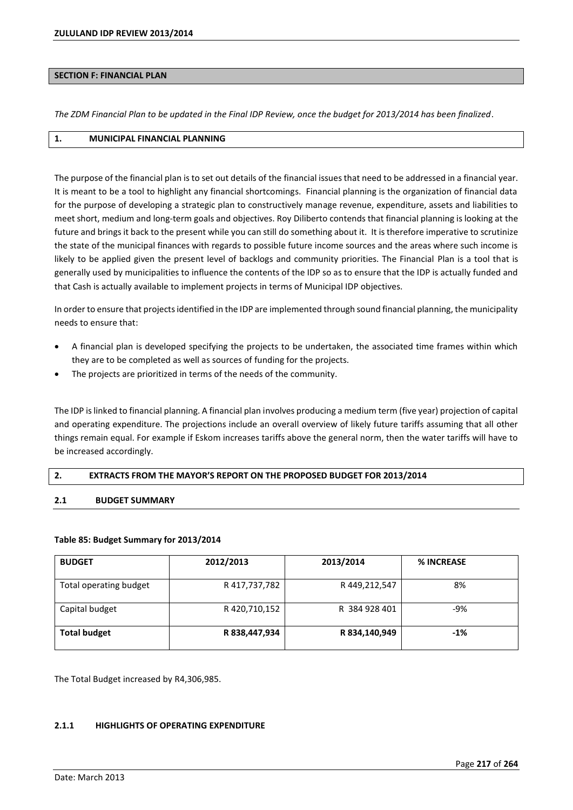## **SECTION F: FINANCIAL PLAN**

*The ZDM Financial Plan to be updated in the Final IDP Review, once the budget for 2013/2014 has been finalized*.

# **1. MUNICIPAL FINANCIAL PLANNING**

The purpose of the financial plan is to set out details of the financial issues that need to be addressed in a financial year. It is meant to be a tool to highlight any financial shortcomings. Financial planning is the organization of financial data for the purpose of developing a strategic plan to constructively manage revenue, expenditure, assets and liabilities to meet short, medium and long-term goals and objectives. Roy Diliberto contends that financial planning is looking at the future and brings it back to the present while you can still do something about it. It is therefore imperative to scrutinize the state of the municipal finances with regards to possible future income sources and the areas where such income is likely to be applied given the present level of backlogs and community priorities. The Financial Plan is a tool that is generally used by municipalities to influence the contents of the IDP so as to ensure that the IDP is actually funded and that Cash is actually available to implement projects in terms of Municipal IDP objectives.

In order to ensure that projects identified in the IDP are implemented through sound financial planning, the municipality needs to ensure that:

- A financial plan is developed specifying the projects to be undertaken, the associated time frames within which they are to be completed as well as sources of funding for the projects.
- The projects are prioritized in terms of the needs of the community.

The IDP is linked to financial planning. A financial plan involves producing a medium term (five year) projection of capital and operating expenditure. The projections include an overall overview of likely future tariffs assuming that all other things remain equal. For example if Eskom increases tariffs above the general norm, then the water tariffs will have to be increased accordingly.

# **2.** EXTRACTS FROM THE MAYOR'S REPORT ON THE PROPOSED BUDGET FOR 2013/2014

### **2.1 BUDGET SUMMARY**

### **Table 85: Budget Summary for 2013/2014**

| <b>BUDGET</b>          | 2012/2013     | 2013/2014     | <b>% INCREASE</b> |
|------------------------|---------------|---------------|-------------------|
| Total operating budget | R 417,737,782 | R 449,212,547 | 8%                |
| Capital budget         | R 420,710,152 | R 384 928 401 | $-9%$             |
| <b>Total budget</b>    | R 838,447,934 | R 834,140,949 | $-1%$             |

The Total Budget increased by R4,306,985.

# **2.1.1 HIGHLIGHTS OF OPERATING EXPENDITURE**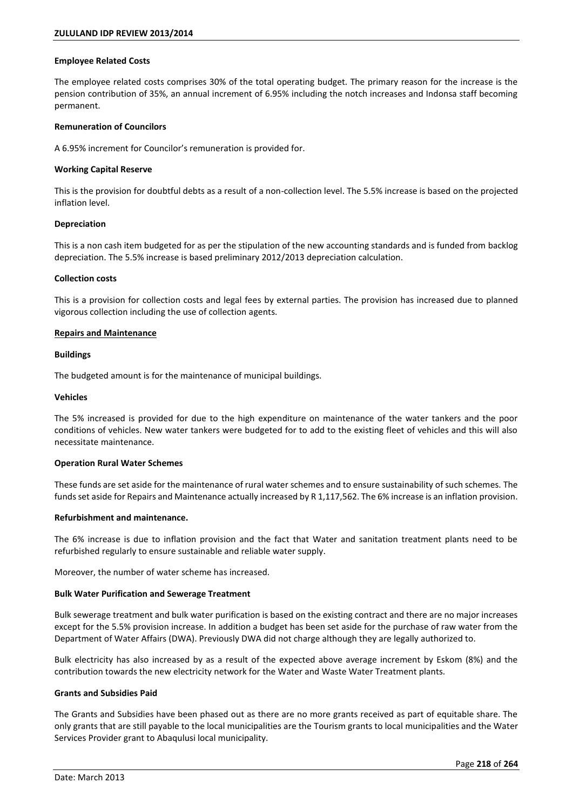### **Employee Related Costs**

The employee related costs comprises 30% of the total operating budget. The primary reason for the increase is the pension contribution of 35%, an annual increment of 6.95% including the notch increases and Indonsa staff becoming permanent.

#### **Remuneration of Councilors**

A 6.95% increment for Councilor's remuneration is provided for.

#### **Working Capital Reserve**

This is the provision for doubtful debts as a result of a non-collection level. The 5.5% increase is based on the projected inflation level.

#### **Depreciation**

This is a non cash item budgeted for as per the stipulation of the new accounting standards and is funded from backlog depreciation. The 5.5% increase is based preliminary 2012/2013 depreciation calculation.

#### **Collection costs**

This is a provision for collection costs and legal fees by external parties. The provision has increased due to planned vigorous collection including the use of collection agents.

#### **Repairs and Maintenance**

#### **Buildings**

The budgeted amount is for the maintenance of municipal buildings.

## **Vehicles**

The 5% increased is provided for due to the high expenditure on maintenance of the water tankers and the poor conditions of vehicles. New water tankers were budgeted for to add to the existing fleet of vehicles and this will also necessitate maintenance.

### **Operation Rural Water Schemes**

These funds are set aside for the maintenance of rural water schemes and to ensure sustainability of such schemes. The funds set aside for Repairs and Maintenance actually increased by R 1,117,562. The 6% increase is an inflation provision.

### **Refurbishment and maintenance.**

The 6% increase is due to inflation provision and the fact that Water and sanitation treatment plants need to be refurbished regularly to ensure sustainable and reliable water supply.

Moreover, the number of water scheme has increased.

### **Bulk Water Purification and Sewerage Treatment**

Bulk sewerage treatment and bulk water purification is based on the existing contract and there are no major increases except for the 5.5% provision increase. In addition a budget has been set aside for the purchase of raw water from the Department of Water Affairs (DWA). Previously DWA did not charge although they are legally authorized to.

Bulk electricity has also increased by as a result of the expected above average increment by Eskom (8%) and the contribution towards the new electricity network for the Water and Waste Water Treatment plants.

#### **Grants and Subsidies Paid**

The Grants and Subsidies have been phased out as there are no more grants received as part of equitable share. The only grants that are still payable to the local municipalities are the Tourism grants to local municipalities and the Water Services Provider grant to Abaqulusi local municipality.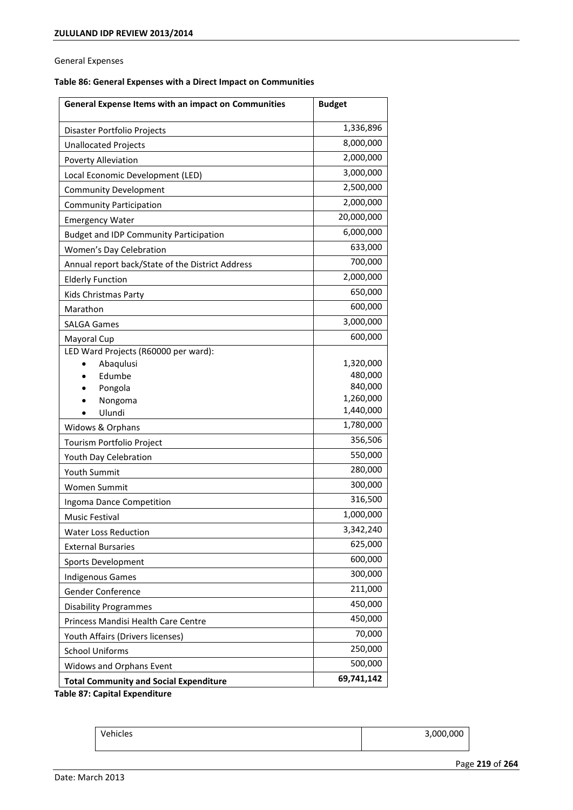General Expenses

# **Table 86: General Expenses with a Direct Impact on Communities**

| 1,336,896<br>Disaster Portfolio Projects<br>8,000,000<br><b>Unallocated Projects</b><br>2,000,000<br>Poverty Alleviation<br>3,000,000<br>Local Economic Development (LED)<br>2,500,000<br><b>Community Development</b><br>2,000,000<br><b>Community Participation</b><br>20,000,000<br><b>Emergency Water</b><br>6,000,000<br><b>Budget and IDP Community Participation</b><br>633,000<br>Women's Day Celebration<br>700,000<br>Annual report back/State of the District Address<br>2,000,000<br><b>Elderly Function</b><br>650,000<br>Kids Christmas Party<br>600,000<br>Marathon<br>3,000,000<br><b>SALGA Games</b><br>600,000<br>Mayoral Cup<br>LED Ward Projects (R60000 per ward):<br>Abaqulusi<br>1,320,000<br>480,000<br>Edumbe<br>840,000<br>Pongola<br>1,260,000<br>Nongoma<br>1,440,000<br>Ulundi<br>1,780,000<br>Widows & Orphans<br>356,506<br>Tourism Portfolio Project<br>550,000<br>Youth Day Celebration<br>280,000<br>Youth Summit<br>300,000<br>Women Summit<br>316,500<br>Ingoma Dance Competition<br>1,000,000<br><b>Music Festival</b><br>3,342,240<br><b>Water Loss Reduction</b><br>625,000<br><b>External Bursaries</b><br>600,000<br>Sports Development<br>300,000<br><b>Indigenous Games</b><br>211,000<br>Gender Conference<br>450,000<br><b>Disability Programmes</b><br>450,000<br>Princess Mandisi Health Care Centre<br>70,000<br>Youth Affairs (Drivers licenses)<br>250,000<br><b>School Uniforms</b><br>500,000<br>Widows and Orphans Event<br>69,741,142 | General Expense Items with an impact on Communities | <b>Budget</b> |
|---------------------------------------------------------------------------------------------------------------------------------------------------------------------------------------------------------------------------------------------------------------------------------------------------------------------------------------------------------------------------------------------------------------------------------------------------------------------------------------------------------------------------------------------------------------------------------------------------------------------------------------------------------------------------------------------------------------------------------------------------------------------------------------------------------------------------------------------------------------------------------------------------------------------------------------------------------------------------------------------------------------------------------------------------------------------------------------------------------------------------------------------------------------------------------------------------------------------------------------------------------------------------------------------------------------------------------------------------------------------------------------------------------------------------------------------------------------------------------------------|-----------------------------------------------------|---------------|
|                                                                                                                                                                                                                                                                                                                                                                                                                                                                                                                                                                                                                                                                                                                                                                                                                                                                                                                                                                                                                                                                                                                                                                                                                                                                                                                                                                                                                                                                                             |                                                     |               |
|                                                                                                                                                                                                                                                                                                                                                                                                                                                                                                                                                                                                                                                                                                                                                                                                                                                                                                                                                                                                                                                                                                                                                                                                                                                                                                                                                                                                                                                                                             |                                                     |               |
|                                                                                                                                                                                                                                                                                                                                                                                                                                                                                                                                                                                                                                                                                                                                                                                                                                                                                                                                                                                                                                                                                                                                                                                                                                                                                                                                                                                                                                                                                             |                                                     |               |
|                                                                                                                                                                                                                                                                                                                                                                                                                                                                                                                                                                                                                                                                                                                                                                                                                                                                                                                                                                                                                                                                                                                                                                                                                                                                                                                                                                                                                                                                                             |                                                     |               |
|                                                                                                                                                                                                                                                                                                                                                                                                                                                                                                                                                                                                                                                                                                                                                                                                                                                                                                                                                                                                                                                                                                                                                                                                                                                                                                                                                                                                                                                                                             |                                                     |               |
|                                                                                                                                                                                                                                                                                                                                                                                                                                                                                                                                                                                                                                                                                                                                                                                                                                                                                                                                                                                                                                                                                                                                                                                                                                                                                                                                                                                                                                                                                             |                                                     |               |
|                                                                                                                                                                                                                                                                                                                                                                                                                                                                                                                                                                                                                                                                                                                                                                                                                                                                                                                                                                                                                                                                                                                                                                                                                                                                                                                                                                                                                                                                                             |                                                     |               |
|                                                                                                                                                                                                                                                                                                                                                                                                                                                                                                                                                                                                                                                                                                                                                                                                                                                                                                                                                                                                                                                                                                                                                                                                                                                                                                                                                                                                                                                                                             |                                                     |               |
|                                                                                                                                                                                                                                                                                                                                                                                                                                                                                                                                                                                                                                                                                                                                                                                                                                                                                                                                                                                                                                                                                                                                                                                                                                                                                                                                                                                                                                                                                             |                                                     |               |
|                                                                                                                                                                                                                                                                                                                                                                                                                                                                                                                                                                                                                                                                                                                                                                                                                                                                                                                                                                                                                                                                                                                                                                                                                                                                                                                                                                                                                                                                                             |                                                     |               |
|                                                                                                                                                                                                                                                                                                                                                                                                                                                                                                                                                                                                                                                                                                                                                                                                                                                                                                                                                                                                                                                                                                                                                                                                                                                                                                                                                                                                                                                                                             |                                                     |               |
|                                                                                                                                                                                                                                                                                                                                                                                                                                                                                                                                                                                                                                                                                                                                                                                                                                                                                                                                                                                                                                                                                                                                                                                                                                                                                                                                                                                                                                                                                             |                                                     |               |
|                                                                                                                                                                                                                                                                                                                                                                                                                                                                                                                                                                                                                                                                                                                                                                                                                                                                                                                                                                                                                                                                                                                                                                                                                                                                                                                                                                                                                                                                                             |                                                     |               |
|                                                                                                                                                                                                                                                                                                                                                                                                                                                                                                                                                                                                                                                                                                                                                                                                                                                                                                                                                                                                                                                                                                                                                                                                                                                                                                                                                                                                                                                                                             |                                                     |               |
|                                                                                                                                                                                                                                                                                                                                                                                                                                                                                                                                                                                                                                                                                                                                                                                                                                                                                                                                                                                                                                                                                                                                                                                                                                                                                                                                                                                                                                                                                             |                                                     |               |
|                                                                                                                                                                                                                                                                                                                                                                                                                                                                                                                                                                                                                                                                                                                                                                                                                                                                                                                                                                                                                                                                                                                                                                                                                                                                                                                                                                                                                                                                                             |                                                     |               |
|                                                                                                                                                                                                                                                                                                                                                                                                                                                                                                                                                                                                                                                                                                                                                                                                                                                                                                                                                                                                                                                                                                                                                                                                                                                                                                                                                                                                                                                                                             |                                                     |               |
|                                                                                                                                                                                                                                                                                                                                                                                                                                                                                                                                                                                                                                                                                                                                                                                                                                                                                                                                                                                                                                                                                                                                                                                                                                                                                                                                                                                                                                                                                             |                                                     |               |
|                                                                                                                                                                                                                                                                                                                                                                                                                                                                                                                                                                                                                                                                                                                                                                                                                                                                                                                                                                                                                                                                                                                                                                                                                                                                                                                                                                                                                                                                                             |                                                     |               |
|                                                                                                                                                                                                                                                                                                                                                                                                                                                                                                                                                                                                                                                                                                                                                                                                                                                                                                                                                                                                                                                                                                                                                                                                                                                                                                                                                                                                                                                                                             |                                                     |               |
|                                                                                                                                                                                                                                                                                                                                                                                                                                                                                                                                                                                                                                                                                                                                                                                                                                                                                                                                                                                                                                                                                                                                                                                                                                                                                                                                                                                                                                                                                             |                                                     |               |
|                                                                                                                                                                                                                                                                                                                                                                                                                                                                                                                                                                                                                                                                                                                                                                                                                                                                                                                                                                                                                                                                                                                                                                                                                                                                                                                                                                                                                                                                                             |                                                     |               |
|                                                                                                                                                                                                                                                                                                                                                                                                                                                                                                                                                                                                                                                                                                                                                                                                                                                                                                                                                                                                                                                                                                                                                                                                                                                                                                                                                                                                                                                                                             |                                                     |               |
|                                                                                                                                                                                                                                                                                                                                                                                                                                                                                                                                                                                                                                                                                                                                                                                                                                                                                                                                                                                                                                                                                                                                                                                                                                                                                                                                                                                                                                                                                             |                                                     |               |
|                                                                                                                                                                                                                                                                                                                                                                                                                                                                                                                                                                                                                                                                                                                                                                                                                                                                                                                                                                                                                                                                                                                                                                                                                                                                                                                                                                                                                                                                                             |                                                     |               |
|                                                                                                                                                                                                                                                                                                                                                                                                                                                                                                                                                                                                                                                                                                                                                                                                                                                                                                                                                                                                                                                                                                                                                                                                                                                                                                                                                                                                                                                                                             |                                                     |               |
|                                                                                                                                                                                                                                                                                                                                                                                                                                                                                                                                                                                                                                                                                                                                                                                                                                                                                                                                                                                                                                                                                                                                                                                                                                                                                                                                                                                                                                                                                             |                                                     |               |
|                                                                                                                                                                                                                                                                                                                                                                                                                                                                                                                                                                                                                                                                                                                                                                                                                                                                                                                                                                                                                                                                                                                                                                                                                                                                                                                                                                                                                                                                                             |                                                     |               |
|                                                                                                                                                                                                                                                                                                                                                                                                                                                                                                                                                                                                                                                                                                                                                                                                                                                                                                                                                                                                                                                                                                                                                                                                                                                                                                                                                                                                                                                                                             |                                                     |               |
|                                                                                                                                                                                                                                                                                                                                                                                                                                                                                                                                                                                                                                                                                                                                                                                                                                                                                                                                                                                                                                                                                                                                                                                                                                                                                                                                                                                                                                                                                             |                                                     |               |
|                                                                                                                                                                                                                                                                                                                                                                                                                                                                                                                                                                                                                                                                                                                                                                                                                                                                                                                                                                                                                                                                                                                                                                                                                                                                                                                                                                                                                                                                                             |                                                     |               |
|                                                                                                                                                                                                                                                                                                                                                                                                                                                                                                                                                                                                                                                                                                                                                                                                                                                                                                                                                                                                                                                                                                                                                                                                                                                                                                                                                                                                                                                                                             |                                                     |               |
|                                                                                                                                                                                                                                                                                                                                                                                                                                                                                                                                                                                                                                                                                                                                                                                                                                                                                                                                                                                                                                                                                                                                                                                                                                                                                                                                                                                                                                                                                             |                                                     |               |
|                                                                                                                                                                                                                                                                                                                                                                                                                                                                                                                                                                                                                                                                                                                                                                                                                                                                                                                                                                                                                                                                                                                                                                                                                                                                                                                                                                                                                                                                                             |                                                     |               |
|                                                                                                                                                                                                                                                                                                                                                                                                                                                                                                                                                                                                                                                                                                                                                                                                                                                                                                                                                                                                                                                                                                                                                                                                                                                                                                                                                                                                                                                                                             |                                                     |               |
|                                                                                                                                                                                                                                                                                                                                                                                                                                                                                                                                                                                                                                                                                                                                                                                                                                                                                                                                                                                                                                                                                                                                                                                                                                                                                                                                                                                                                                                                                             |                                                     |               |
|                                                                                                                                                                                                                                                                                                                                                                                                                                                                                                                                                                                                                                                                                                                                                                                                                                                                                                                                                                                                                                                                                                                                                                                                                                                                                                                                                                                                                                                                                             |                                                     |               |
|                                                                                                                                                                                                                                                                                                                                                                                                                                                                                                                                                                                                                                                                                                                                                                                                                                                                                                                                                                                                                                                                                                                                                                                                                                                                                                                                                                                                                                                                                             |                                                     |               |
|                                                                                                                                                                                                                                                                                                                                                                                                                                                                                                                                                                                                                                                                                                                                                                                                                                                                                                                                                                                                                                                                                                                                                                                                                                                                                                                                                                                                                                                                                             | <b>Total Community and Social Expenditure</b>       |               |

**Table 87: Capital Expenditure** 

Vehicles 3,000,000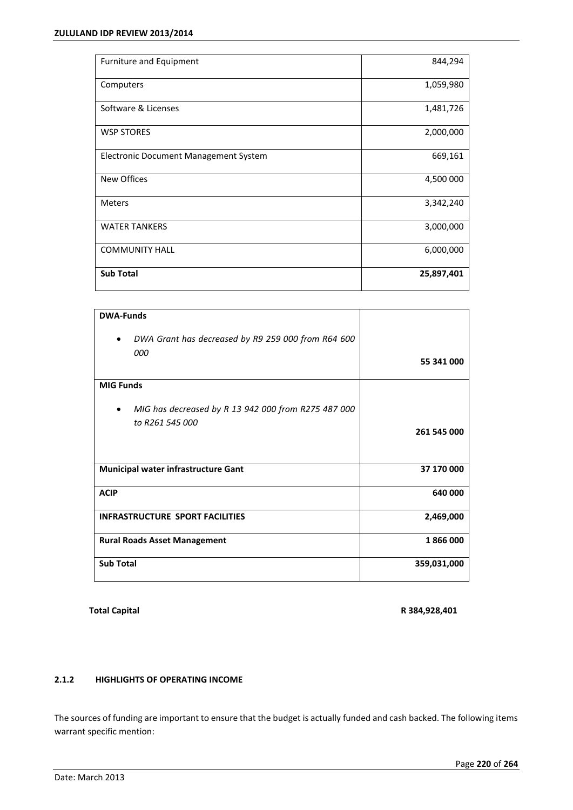| Furniture and Equipment               | 844,294    |
|---------------------------------------|------------|
| Computers                             | 1,059,980  |
| Software & Licenses                   | 1,481,726  |
| <b>WSP STORES</b>                     | 2,000,000  |
| Electronic Document Management System | 669,161    |
| <b>New Offices</b>                    | 4,500 000  |
| <b>Meters</b>                         | 3,342,240  |
| <b>WATER TANKERS</b>                  | 3,000,000  |
| <b>COMMUNITY HALL</b>                 | 6,000,000  |
| <b>Sub Total</b>                      | 25,897,401 |

| <b>DWA-Funds</b>                                                       |             |
|------------------------------------------------------------------------|-------------|
| DWA Grant has decreased by R9 259 000 from R64 600<br>$\bullet$        |             |
| 000                                                                    | 55 341 000  |
| <b>MIG Funds</b>                                                       |             |
| MIG has decreased by R 13 942 000 from R275 487 000<br>to R261 545 000 |             |
|                                                                        | 261 545 000 |
| <b>Municipal water infrastructure Gant</b>                             | 37 170 000  |
|                                                                        |             |
| <b>ACIP</b>                                                            | 640 000     |
| <b>INFRASTRUCTURE SPORT FACILITIES</b>                                 | 2,469,000   |
| <b>Rural Roads Asset Management</b>                                    | 1866000     |
| <b>Sub Total</b>                                                       | 359,031,000 |

**Total Capital R 384,928,401**

# **2.1.2 HIGHLIGHTS OF OPERATING INCOME**

The sources of funding are important to ensure that the budget is actually funded and cash backed. The following items warrant specific mention: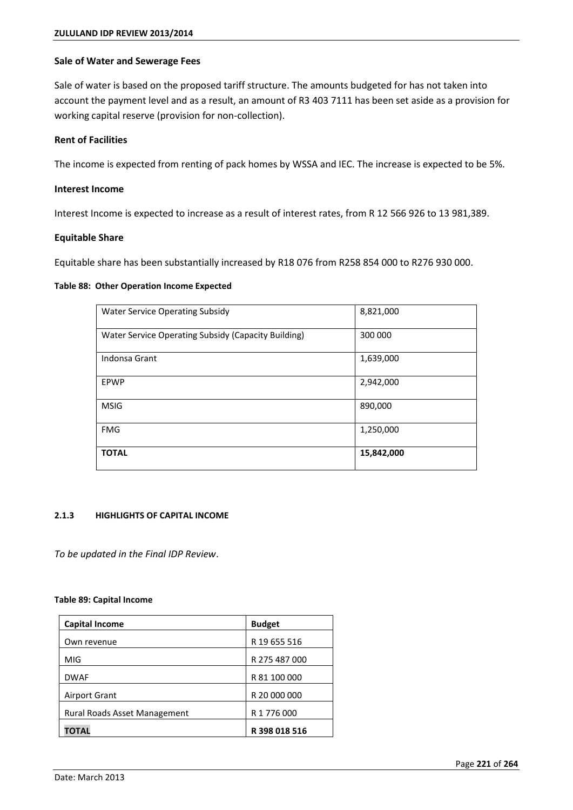# **Sale of Water and Sewerage Fees**

Sale of water is based on the proposed tariff structure. The amounts budgeted for has not taken into account the payment level and as a result, an amount of R3 403 7111 has been set aside as a provision for working capital reserve (provision for non-collection).

# **Rent of Facilities**

The income is expected from renting of pack homes by WSSA and IEC. The increase is expected to be 5%.

# **Interest Income**

Interest Income is expected to increase as a result of interest rates, from R 12 566 926 to 13 981,389.

# **Equitable Share**

Equitable share has been substantially increased by R18 076 from R258 854 000 to R276 930 000.

# **Table 88: Other Operation Income Expected**

| <b>Water Service Operating Subsidy</b>              | 8,821,000  |
|-----------------------------------------------------|------------|
| Water Service Operating Subsidy (Capacity Building) | 300 000    |
| Indonsa Grant                                       | 1,639,000  |
| EPWP                                                | 2,942,000  |
| <b>MSIG</b>                                         | 890,000    |
| <b>FMG</b>                                          | 1,250,000  |
| <b>TOTAL</b>                                        | 15,842,000 |

# **2.1.3 HIGHLIGHTS OF CAPITAL INCOME**

*To be updated in the Final IDP Review*.

# **Table 89: Capital Income**

| <b>Capital Income</b>               | <b>Budget</b> |
|-------------------------------------|---------------|
| Own revenue                         | R 19 655 516  |
| MIG                                 | R 275 487 000 |
| <b>DWAF</b>                         | R 81 100 000  |
| Airport Grant                       | R 20 000 000  |
| <b>Rural Roads Asset Management</b> | R 1 776 000   |
| TOTAL                               | R 398 018 516 |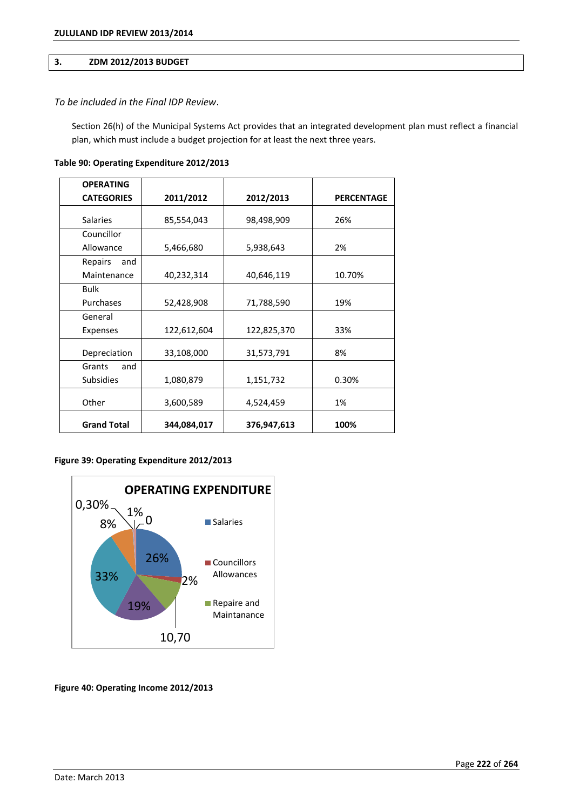# **3. ZDM 2012/2013 BUDGET**

# *To be included in the Final IDP Review*.

Section 26(h) of the Municipal Systems Act provides that an integrated development plan must reflect a financial plan, which must include a budget projection for at least the next three years.

| <b>OPERATING</b>   |             |             |                   |
|--------------------|-------------|-------------|-------------------|
| <b>CATEGORIES</b>  | 2011/2012   | 2012/2013   | <b>PERCENTAGE</b> |
| <b>Salaries</b>    | 85,554,043  | 98,498,909  | 26%               |
| Councillor         |             |             |                   |
| Allowance          | 5,466,680   | 5,938,643   | 2%                |
| Repairs<br>and     |             |             |                   |
| Maintenance        | 40,232,314  | 40,646,119  | 10.70%            |
| <b>Bulk</b>        |             |             |                   |
| Purchases          | 52,428,908  | 71,788,590  | 19%               |
| General            |             |             |                   |
| Expenses           | 122,612,604 | 122,825,370 | 33%               |
| Depreciation       | 33,108,000  | 31,573,791  | 8%                |
| Grants<br>and      |             |             |                   |
| <b>Subsidies</b>   | 1,080,879   | 1,151,732   | 0.30%             |
| Other              | 3,600,589   | 4,524,459   | 1%                |
| <b>Grand Total</b> | 344,084,017 | 376,947,613 | 100%              |

# **Table 90: Operating Expenditure 2012/2013**

# **Figure 39: Operating Expenditure 2012/2013**



**Figure 40: Operating Income 2012/2013**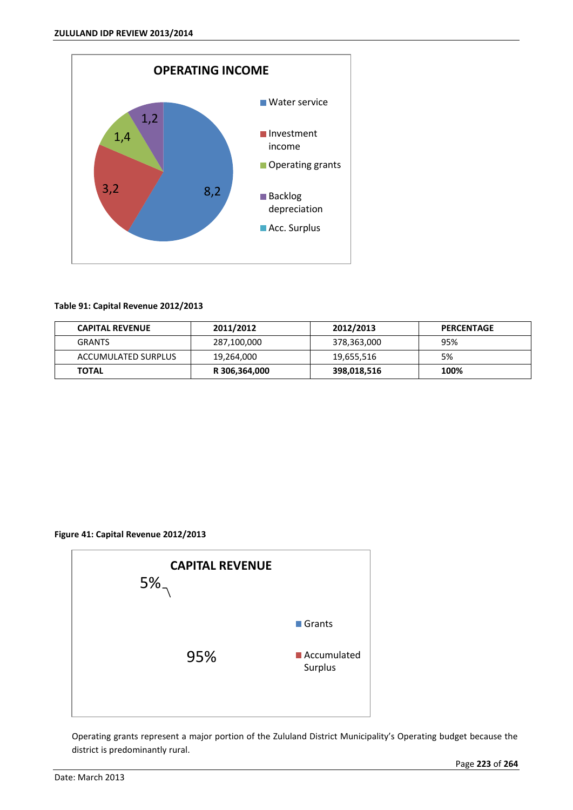

# **Table 91: Capital Revenue 2012/2013**

| <b>CAPITAL REVENUE</b> | 2011/2012     | 2012/2013   | <b>PERCENTAGE</b> |
|------------------------|---------------|-------------|-------------------|
| <b>GRANTS</b>          | 287,100,000   | 378,363,000 | 95%               |
| ACCUMULATED SURPLUS    | 19,264,000    | 19,655,516  | 5%                |
| <b>TOTAL</b>           | R 306,364,000 | 398,018,516 | 100%              |

# **Figure 41: Capital Revenue 2012/2013**



Operating grants represent a major portion of the Zululand District Municipality's Operating budget because the district is predominantly rural.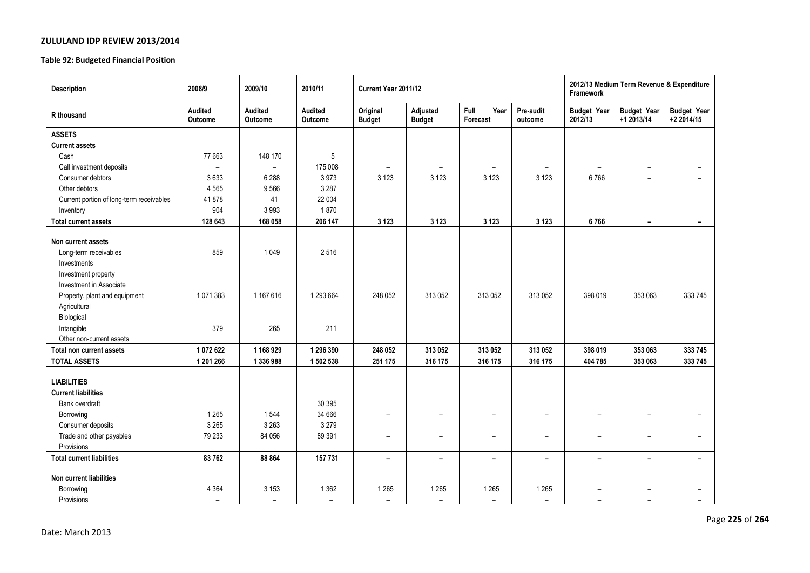### **Table 92: Budgeted Financial Position**

| <b>Description</b>                                                                                                                                                                                                                                                              | 2008/9                                          | 2009/10                                            | 2010/11                                            | Current Year 2011/12                |                                     |                                     |                                  | 2012/13 Medium Term Revenue & Expenditure<br>Framework |                                                      |                                  |
|---------------------------------------------------------------------------------------------------------------------------------------------------------------------------------------------------------------------------------------------------------------------------------|-------------------------------------------------|----------------------------------------------------|----------------------------------------------------|-------------------------------------|-------------------------------------|-------------------------------------|----------------------------------|--------------------------------------------------------|------------------------------------------------------|----------------------------------|
| R thousand                                                                                                                                                                                                                                                                      | Audited<br>Outcome                              | Audited<br>Outcome                                 | Audited<br>Outcome                                 | Original<br><b>Budget</b>           | Adjusted<br><b>Budget</b>           | Full<br>Year<br>Forecast            | Pre-audit<br>outcome             | <b>Budget Year</b><br>2012/13                          | <b>Budget Year</b><br>+1 2013/14                     | <b>Budget Year</b><br>+2 2014/15 |
| <b>ASSETS</b>                                                                                                                                                                                                                                                                   |                                                 |                                                    |                                                    |                                     |                                     |                                     |                                  |                                                        |                                                      |                                  |
| <b>Current assets</b>                                                                                                                                                                                                                                                           |                                                 |                                                    |                                                    |                                     |                                     |                                     |                                  |                                                        |                                                      |                                  |
| Cash                                                                                                                                                                                                                                                                            | 77 663                                          | 148 170                                            | 5                                                  |                                     |                                     |                                     |                                  |                                                        |                                                      |                                  |
| Call investment deposits                                                                                                                                                                                                                                                        | $\overline{\phantom{a}}$                        | $\overline{\phantom{0}}$                           | 175 008                                            | $\overline{\phantom{a}}$            | $\overline{\phantom{a}}$            | $\overline{\phantom{0}}$            |                                  |                                                        | $\overline{\phantom{m}}$                             |                                  |
| Consumer debtors                                                                                                                                                                                                                                                                | 3633                                            | 6 2 8 8                                            | 3973                                               | 3 1 2 3                             | 3 1 2 3                             | 3 1 2 3                             | 3 1 2 3                          | 6766                                                   | $\overline{\phantom{0}}$                             |                                  |
| Other debtors                                                                                                                                                                                                                                                                   | 4 5 6 5                                         | 9566                                               | 3 2 8 7                                            |                                     |                                     |                                     |                                  |                                                        |                                                      |                                  |
| Current portion of long-term receivables                                                                                                                                                                                                                                        | 41 878                                          | 41                                                 | 22 004                                             |                                     |                                     |                                     |                                  |                                                        |                                                      |                                  |
| Inventory                                                                                                                                                                                                                                                                       | 904                                             | 3993                                               | 1870                                               |                                     |                                     |                                     |                                  |                                                        |                                                      |                                  |
| <b>Total current assets</b>                                                                                                                                                                                                                                                     | 128 643                                         | 168 058                                            | 206 147                                            | 3 1 2 3                             | 3 1 2 3                             | 3 1 2 3                             | 3 1 2 3                          | 6766                                                   | $\sim$                                               | $\sim$                           |
| Non current assets<br>Long-term receivables<br>Investments<br>Investment property<br>Investment in Associate<br>Property, plant and equipment<br>Agricultural<br>Biological<br>Intangible<br>Other non-current assets<br><b>Total non current assets</b><br><b>TOTAL ASSETS</b> | 859<br>1071383<br>379<br>1 072 622<br>1 201 266 | 1049<br>1 167 616<br>265<br>1 168 929<br>1 336 988 | 2516<br>1 293 664<br>211<br>1 296 390<br>1 502 538 | 248 052<br>248 052<br>251 175       | 313 052<br>313 052<br>316 175       | 313 052<br>313 052<br>316 175       | 313 052<br>313 052<br>316 175    | 398 019<br>398 019<br>404 785                          | 353 063<br>353 063<br>353 063                        | 333745<br>333 745<br>333 745     |
| <b>LIABILITIES</b>                                                                                                                                                                                                                                                              |                                                 |                                                    |                                                    |                                     |                                     |                                     |                                  |                                                        |                                                      |                                  |
| <b>Current liabilities</b>                                                                                                                                                                                                                                                      |                                                 |                                                    |                                                    |                                     |                                     |                                     |                                  |                                                        |                                                      |                                  |
| Bank overdraft                                                                                                                                                                                                                                                                  |                                                 |                                                    | 30 395                                             |                                     |                                     |                                     |                                  |                                                        |                                                      |                                  |
| Borrowing                                                                                                                                                                                                                                                                       | 1 2 6 5                                         | 1544                                               | 34 666                                             | $\overline{\phantom{0}}$            | $\overline{\phantom{a}}$            | $\overline{\phantom{0}}$            | -                                | $\overline{\phantom{0}}$                               | $\overline{\phantom{m}}$                             |                                  |
| Consumer deposits                                                                                                                                                                                                                                                               | 3 2 6 5                                         | 3 2 6 3                                            | 3 2 7 9                                            |                                     |                                     |                                     |                                  |                                                        |                                                      |                                  |
| Trade and other payables                                                                                                                                                                                                                                                        | 79 233                                          | 84 056                                             | 89 391                                             | $\overline{\phantom{0}}$            | $\overline{\phantom{m}}$            | $\overline{\phantom{0}}$            | $\overline{\phantom{0}}$         | $\overline{\phantom{a}}$                               | $\overline{\phantom{a}}$                             |                                  |
| Provisions                                                                                                                                                                                                                                                                      |                                                 |                                                    |                                                    |                                     |                                     |                                     |                                  |                                                        |                                                      |                                  |
| <b>Total current liabilities</b>                                                                                                                                                                                                                                                | 83 762                                          | 88 864                                             | 157 731                                            | $\overline{\phantom{a}}$            | $\overline{\phantom{a}}$            | $\qquad \qquad -$                   | $\overline{\phantom{a}}$         | $\overline{\phantom{a}}$                               | $\overline{\phantom{a}}$                             | $\overline{\phantom{a}}$         |
| Non current liabilities<br>Borrowing<br>Provisions                                                                                                                                                                                                                              | 4 3 6 4<br>$\overline{\phantom{0}}$             | 3 1 5 3<br>$\overline{\phantom{a}}$                | 1 3 6 2<br>$\overline{a}$                          | 1 2 6 5<br>$\overline{\phantom{0}}$ | 1 2 6 5<br>$\overline{\phantom{a}}$ | 1 2 6 5<br>$\overline{\phantom{0}}$ | 1265<br>$\overline{\phantom{0}}$ | $\overline{\phantom{0}}$<br>$\overline{\phantom{0}}$   | $\overline{\phantom{0}}$<br>$\overline{\phantom{0}}$ |                                  |

Page **225** of **264**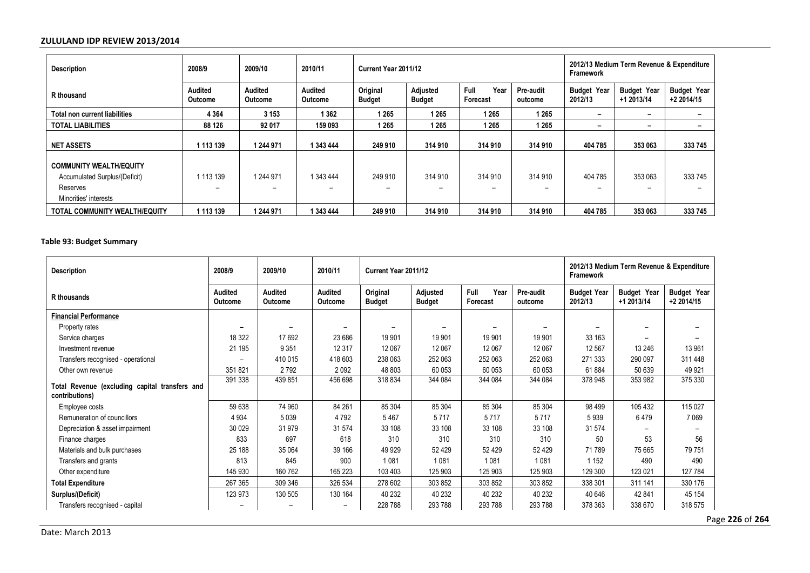| <b>Description</b>                   | 2008/9                           | 2009/10                          | 2010/11            | Current Year 2011/12      |                           |                          |                      | 2012/13 Medium Term Revenue & Expenditure<br>Framework |                                  |                                  |
|--------------------------------------|----------------------------------|----------------------------------|--------------------|---------------------------|---------------------------|--------------------------|----------------------|--------------------------------------------------------|----------------------------------|----------------------------------|
| R thousand                           | <b>Audited</b><br><b>Outcome</b> | <b>Audited</b><br><b>Outcome</b> | Audited<br>Outcome | Original<br><b>Budget</b> | Adjusted<br><b>Budget</b> | Year<br>Full<br>Forecast | Pre-audit<br>outcome | <b>Budget Year</b><br>2012/13                          | <b>Budget Year</b><br>+1 2013/14 | <b>Budget Year</b><br>+2 2014/15 |
| Total non current liabilities        | 4 3 6 4                          | 3 1 5 3                          | 1 3 6 2            | 1265                      | 1 2 6 5                   | 1265                     | 1 2 6 5              | -                                                      | -                                |                                  |
| <b>TOTAL LIABILITIES</b>             | 88 126                           | 92 017                           | 159 093            | 1265                      | 1 2 6 5                   | 1265                     | 1 265                | -                                                      | $\overline{\phantom{0}}$         |                                  |
| <b>NET ASSETS</b>                    | 1 113 139                        | 1 244 971                        | 1 343 444          | 249 910                   | 314 910                   | 314 910                  | 314 910              | 404 785                                                | 353 063                          | 333 745                          |
| <b>COMMUNITY WEALTH/EQUITY</b>       |                                  |                                  |                    |                           |                           |                          |                      |                                                        |                                  |                                  |
| Accumulated Surplus/(Deficit)        | 1 113 139                        | 1 244 971                        | 1 343 444          | 249 910                   | 314 910                   | 314 910                  | 314 910              | 404 785                                                | 353 063                          | 333 745                          |
| Reserves                             | -                                | $\overline{\phantom{0}}$         |                    | $\overline{\phantom{0}}$  | $\overline{\phantom{0}}$  | -                        |                      | -                                                      |                                  |                                  |
| Minorities' interests                |                                  |                                  |                    |                           |                           |                          |                      |                                                        |                                  |                                  |
| <b>TOTAL COMMUNITY WEALTH/EQUITY</b> | 1 113 139                        | 1 244 971                        | 1 343 444          | 249 910                   | 314 910                   | 314 910                  | 314 910              | 404 785                                                | 353 063                          | 333 745                          |

**Table 93: Budget Summary** 

| <b>Description</b>                                               | 2008/9             | 2009/10                          | 2010/11            | Current Year 2011/12      |                           |                          |                          | 2012/13 Medium Term Revenue & Expenditure<br>Framework |                                  |                                  |  |
|------------------------------------------------------------------|--------------------|----------------------------------|--------------------|---------------------------|---------------------------|--------------------------|--------------------------|--------------------------------------------------------|----------------------------------|----------------------------------|--|
| R thousands                                                      | Audited<br>Outcome | <b>Audited</b><br><b>Outcome</b> | Audited<br>Outcome | Original<br><b>Budget</b> | Adjusted<br><b>Budget</b> | Full<br>Year<br>Forecast | Pre-audit<br>outcome     | <b>Budget Year</b><br>2012/13                          | <b>Budget Year</b><br>+1 2013/14 | <b>Budget Year</b><br>+2 2014/15 |  |
| <b>Financial Performance</b>                                     |                    |                                  |                    |                           |                           |                          |                          |                                                        |                                  |                                  |  |
| Property rates                                                   |                    |                                  |                    |                           |                           |                          | $\overline{\phantom{0}}$ |                                                        |                                  | $\overline{\phantom{0}}$         |  |
| Service charges                                                  | 18 3 22            | 17692                            | 23 686             | 19 901                    | 19 901                    | 19 901                   | 19 901                   | 33 163                                                 |                                  |                                  |  |
| Investment revenue                                               | 21 195             | 9 3 5 1                          | 12 3 17            | 12 067                    | 12 067                    | 12 067                   | 12 067                   | 12 5 67                                                | 13 24 6                          | 13 961                           |  |
| Transfers recognised - operational                               |                    | 410 015                          | 418 603            | 238 063                   | 252 063                   | 252 063                  | 252 063                  | 271 333                                                | 290 097                          | 311 448                          |  |
| Other own revenue                                                | 351821             | 2792                             | 2092               | 48 803                    | 60 053                    | 60 053                   | 60 053                   | 61884                                                  | 50 639                           | 49 9 21                          |  |
| Total Revenue (excluding capital transfers and<br>contributions) | 391 338            | 439 851                          | 456 698            | 318 834                   | 344 084                   | 344 084                  | 344 084                  | 378 948                                                | 353 982                          | 375 330                          |  |
| Employee costs                                                   | 59 638             | 74 960                           | 84 261             | 85 304                    | 85 304                    | 85 304                   | 85 304                   | 98 4 99                                                | 105 432                          | 115 027                          |  |
| Remuneration of councillors                                      | 4 9 3 4            | 5039                             | 4792               | 5467                      | 5717                      | 5717                     | 5717                     | 5939                                                   | 6479                             | 7 0 6 9                          |  |
| Depreciation & asset impairment                                  | 30 0 29            | 31979                            | 31 574             | 33 108                    | 33 108                    | 33 108                   | 33 108                   | 31 574                                                 |                                  |                                  |  |
| Finance charges                                                  | 833                | 697                              | 618                | 310                       | 310                       | 310                      | 310                      | 50                                                     | 53                               | 56                               |  |
| Materials and bulk purchases                                     | 25 188             | 35 0 64                          | 39 166             | 49 9 29                   | 52 4 29                   | 52 4 29                  | 52 4 29                  | 71 789                                                 | 75 665                           | 79 751                           |  |
| Transfers and grants                                             | 813                | 845                              | 900                | 1 0 8 1                   | 1081                      | 1081                     | 1 0 8 1                  | 1 1 5 2                                                | 490                              | 490                              |  |
| Other expenditure                                                | 145 930            | 160 762                          | 165 223            | 103 403                   | 125 903                   | 125 903                  | 125 903                  | 129 300                                                | 123 021                          | 127 784                          |  |
| <b>Total Expenditure</b>                                         | 267 365            | 309 346                          | 326 534            | 278 602                   | 303 852                   | 303 852                  | 303 852                  | 338 301                                                | 311 141                          | 330 176                          |  |
| Surplus/(Deficit)                                                | 123 973            | 130 505                          | 130 164            | 40 232                    | 40 232                    | 40 232                   | 40 232                   | 40 646                                                 | 42 841                           | 45 154                           |  |
| Transfers recognised - capital                                   |                    |                                  |                    | 228 788                   | 293 788                   | 293 788                  | 293 788                  | 378 363                                                | 338 670                          | 318 575                          |  |

Page **226** of **264**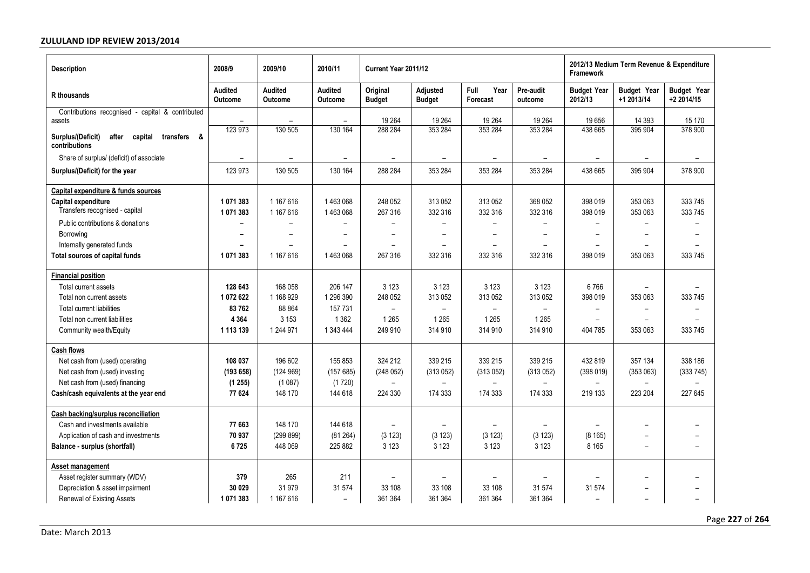| <b>Description</b>                                                         | 2008/9                   | 2009/10                   | 2010/11                          | Current Year 2011/12      |                           |                          |                          | 2012/13 Medium Term Revenue & Expenditure<br><b>Framework</b> |                                  |                                  |  |
|----------------------------------------------------------------------------|--------------------------|---------------------------|----------------------------------|---------------------------|---------------------------|--------------------------|--------------------------|---------------------------------------------------------------|----------------------------------|----------------------------------|--|
| R thousands                                                                | Audited<br>Outcome       | <b>Audited</b><br>Outcome | <b>Audited</b><br><b>Outcome</b> | Original<br><b>Budget</b> | Adjusted<br><b>Budget</b> | Full<br>Year<br>Forecast | Pre-audit<br>outcome     | <b>Budget Year</b><br>2012/13                                 | <b>Budget Year</b><br>+1 2013/14 | <b>Budget Year</b><br>+2 2014/15 |  |
| Contributions recognised - capital & contributed<br>assets                 | $\overline{\phantom{m}}$ |                           | $\overline{\phantom{0}}$         | 19 2 64                   | 19 264                    | 19 264                   | 19 264                   | 19656                                                         | 14 3 9 3                         | 15 170                           |  |
| Surplus/(Deficit)<br>after<br>capital<br>transfers<br>- &<br>contributions | 123 973                  | 130 505                   | 130 164                          | 288 284                   | 353 284                   | 353 284                  | 353 284                  | 438 665                                                       | 395 904                          | 378 900                          |  |
| Share of surplus/ (deficit) of associate                                   |                          |                           |                                  |                           |                           |                          |                          |                                                               |                                  |                                  |  |
| Surplus/(Deficit) for the year                                             | 123 973                  | 130 505                   | 130 164                          | 288 284                   | 353 284                   | 353 284                  | 353 284                  | 438 665                                                       | 395 904                          | 378 900                          |  |
| Capital expenditure & funds sources                                        |                          |                           |                                  |                           |                           |                          |                          |                                                               |                                  |                                  |  |
| Capital expenditure                                                        | 1071383                  | 1 167 616                 | 1463068                          | 248 052                   | 313 052                   | 313 052                  | 368 052                  | 398 019                                                       | 353 063                          | 333 745                          |  |
| Transfers recognised - capital                                             | 1071383                  | 1 167 616                 | 1463068                          | 267 316                   | 332 316                   | 332 316                  | 332 316                  | 398 019                                                       | 353 063                          | 333 745                          |  |
| Public contributions & donations                                           |                          |                           |                                  | $\equiv$                  | $\overline{\phantom{0}}$  |                          | $\overline{\phantom{0}}$ | $\overline{\phantom{0}}$                                      | $\overline{\phantom{0}}$         | $\equiv$                         |  |
| Borrowing                                                                  |                          |                           |                                  | $\overline{\phantom{0}}$  |                           | $\overline{\phantom{0}}$ |                          |                                                               | $\overline{\phantom{0}}$         |                                  |  |
| Internally generated funds                                                 |                          |                           |                                  | $\overline{\phantom{0}}$  |                           |                          |                          |                                                               |                                  |                                  |  |
| Total sources of capital funds                                             | 1071383                  | 1 167 616                 | 1463068                          | 267 316                   | 332 316                   | 332 316                  | 332 316                  | 398 019                                                       | 353 063                          | 333 745                          |  |
| <b>Financial position</b>                                                  |                          |                           |                                  |                           |                           |                          |                          |                                                               |                                  |                                  |  |
| Total current assets                                                       | 128 643                  | 168 058                   | 206 147                          | 3 1 2 3                   | 3 1 2 3                   | 3 1 2 3                  | 3 1 2 3                  | 6766                                                          |                                  |                                  |  |
| Total non current assets                                                   | 1 072 622                | 1 168 929                 | 1 296 390                        | 248 052                   | 313 052                   | 313 052                  | 313 052                  | 398 019                                                       | 353 063                          | 333 745                          |  |
| <b>Total current liabilities</b>                                           | 83762                    | 88 864                    | 157 731                          | $\overline{\phantom{0}}$  | $\overline{\phantom{0}}$  |                          |                          |                                                               |                                  |                                  |  |
| Total non current liabilities                                              | 4 3 6 4                  | 3 1 5 3                   | 1 3 6 2                          | 1 2 6 5                   | 1 2 6 5                   | 1 2 6 5                  | 1 2 6 5                  |                                                               |                                  |                                  |  |
| Community wealth/Equity                                                    | 1 113 139                | 1 244 971                 | 1 343 444                        | 249 910                   | 314 910                   | 314 910                  | 314 910                  | 404 785                                                       | 353 063                          | 333 745                          |  |
| <b>Cash flows</b>                                                          |                          |                           |                                  |                           |                           |                          |                          |                                                               |                                  |                                  |  |
| Net cash from (used) operating                                             | 108 037                  | 196 602                   | 155 853                          | 324 212                   | 339 215                   | 339 215                  | 339 215                  | 432 819                                                       | 357 134                          | 338 186                          |  |
| Net cash from (used) investing                                             | (193658)                 | (124969)                  | (157685)                         | (248052)                  | (313052)                  | (313052)                 | (313052)                 | (398019)                                                      | (353063)                         | (333745)                         |  |
| Net cash from (used) financing                                             | (1255)                   | (1087)                    | (1720)                           |                           |                           |                          |                          | $\overline{\phantom{0}}$                                      |                                  |                                  |  |
| Cash/cash equivalents at the year end                                      | 77 624                   | 148 170                   | 144 618                          | 224 330                   | 174 333                   | 174 333                  | 174 333                  | 219 133                                                       | 223 204                          | 227 645                          |  |
| <b>Cash backing/surplus reconciliation</b>                                 |                          |                           |                                  |                           |                           |                          |                          |                                                               |                                  |                                  |  |
| Cash and investments available                                             | 77 663                   | 148 170                   | 144 618                          |                           |                           |                          |                          |                                                               |                                  |                                  |  |
| Application of cash and investments                                        | 70 937                   | (299 899)                 | (81264)                          | (3 123)                   | (3 123)                   | (3 123)                  | (3 123)                  | (8165)                                                        |                                  |                                  |  |
| Balance - surplus (shortfall)                                              | 6725                     | 448 069                   | 225 882                          | 3 1 2 3                   | 3 1 2 3                   | 3 1 2 3                  | 3 1 2 3                  | 8 1 6 5                                                       | $\overline{\phantom{a}}$         | -                                |  |
| Asset management                                                           |                          |                           |                                  |                           |                           |                          |                          |                                                               |                                  |                                  |  |
| Asset register summary (WDV)                                               | 379                      | 265                       | 211                              |                           | $\overline{\phantom{0}}$  |                          |                          |                                                               |                                  |                                  |  |
| Depreciation & asset impairment                                            | 30 0 29                  | 31 979                    | 31 574                           | 33 108                    | 33 108                    | 33 108                   | 31 574                   | 31 574                                                        |                                  | -                                |  |
| Renewal of Existing Assets                                                 | 1 071 383                | 1 167 616                 | $\overline{\phantom{0}}$         | 361 364                   | 361 364                   | 361 364                  | 361 364                  | $\overline{\phantom{a}}$                                      |                                  | $\overline{\phantom{0}}$         |  |

Page **227** of **264**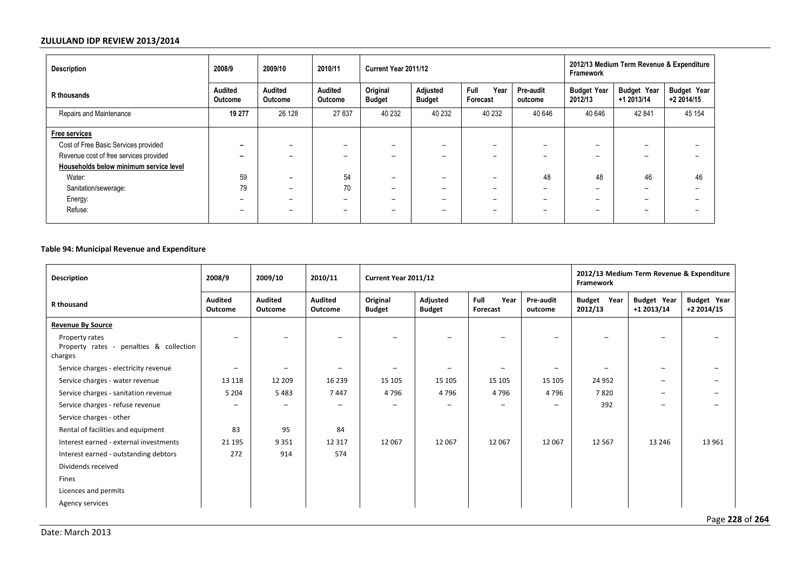| <b>Description</b>                     | 2008/9                   | 2009/10                  | 2010/11                  | Current Year 2011/12      |                           |                          |                          | 2012/13 Medium Term Revenue & Expenditure<br><b>Framework</b> |                                  |                                  |  |
|----------------------------------------|--------------------------|--------------------------|--------------------------|---------------------------|---------------------------|--------------------------|--------------------------|---------------------------------------------------------------|----------------------------------|----------------------------------|--|
| R thousands                            | Audited<br>Outcome       | Audited<br>Outcome       | Audited<br>Outcome       | Original<br><b>Budget</b> | Adjusted<br><b>Budget</b> | Full<br>Year<br>Forecast | Pre-audit<br>outcome     | <b>Budget Year</b><br>2012/13                                 | <b>Budget Year</b><br>+1 2013/14 | <b>Budget Year</b><br>+2 2014/15 |  |
| Repairs and Maintenance                | 19 277                   | 26 128                   | 27 837                   | 40 232                    | 40 232                    | 40 232                   | 40 646                   | 40 646                                                        | 42 841                           | 45 154                           |  |
| Free services                          |                          |                          |                          |                           |                           |                          |                          |                                                               |                                  |                                  |  |
| Cost of Free Basic Services provided   | -                        | $\overline{\phantom{0}}$ | $-$                      | -                         | $-$                       | $\overline{\phantom{0}}$ |                          | $\overline{\phantom{0}}$                                      | $\overline{\phantom{0}}$         |                                  |  |
| Revenue cost of free services provided | -                        | $-$                      | $-$                      |                           | $-$                       | $\overline{\phantom{0}}$ |                          | $\overline{\phantom{0}}$                                      | $\overline{\phantom{0}}$         |                                  |  |
| Households below minimum service level |                          |                          |                          |                           |                           |                          |                          |                                                               |                                  |                                  |  |
| Water:                                 | 59                       | $\overline{\phantom{0}}$ | 54                       | $\overline{\phantom{0}}$  | $\overline{\phantom{0}}$  | $\overline{\phantom{0}}$ | 48                       | 48                                                            | 46                               | 46                               |  |
| Sanitation/sewerage:                   | 79                       | $\overline{\phantom{0}}$ | 70                       | $\overline{\phantom{0}}$  | $-$                       | $\overline{\phantom{0}}$ | $\overline{\phantom{0}}$ | $\overline{\phantom{0}}$                                      | $\overline{\phantom{0}}$         |                                  |  |
| Energy:                                | -                        | $-$                      | $-$                      | -                         | $-$                       | -                        |                          | $\overline{\phantom{0}}$                                      | $\overline{\phantom{0}}$         |                                  |  |
| Refuse:                                | $\overline{\phantom{0}}$ | $\overline{\phantom{0}}$ | $\overline{\phantom{0}}$ | $\overline{\phantom{0}}$  | $\overline{\phantom{0}}$  | $\overline{\phantom{0}}$ | -                        | $\overline{\phantom{0}}$                                      | $\overline{\phantom{0}}$         |                                  |  |

# **Table 94: Municipal Revenue and Expenditure**

| Description                                                          | 2008/9                    | 2009/10                   | 2010/11                   | Current Year 2011/12      |                           |                          |                      | 2012/13 Medium Term Revenue & Expenditure<br>Framework |                                  |                                  |  |
|----------------------------------------------------------------------|---------------------------|---------------------------|---------------------------|---------------------------|---------------------------|--------------------------|----------------------|--------------------------------------------------------|----------------------------------|----------------------------------|--|
| R thousand                                                           | <b>Audited</b><br>Outcome | <b>Audited</b><br>Outcome | <b>Audited</b><br>Outcome | Original<br><b>Budget</b> | Adjusted<br><b>Budget</b> | Full<br>Year<br>Forecast | Pre-audit<br>outcome | Year<br><b>Budget</b><br>2012/13                       | <b>Budget Year</b><br>+1 2013/14 | <b>Budget Year</b><br>+2 2014/15 |  |
| <b>Revenue By Source</b>                                             |                           |                           |                           |                           |                           |                          |                      |                                                        |                                  |                                  |  |
| Property rates<br>Property rates - penalties & collection<br>charges |                           |                           |                           |                           | $\overline{\phantom{a}}$  | $\qquad \qquad -$        | -                    | $\overline{\phantom{0}}$                               |                                  | -                                |  |
| Service charges - electricity revenue                                | $\overline{\phantom{0}}$  |                           |                           |                           | -                         | $\overline{\phantom{0}}$ |                      |                                                        | $-$                              | $\overline{\phantom{0}}$         |  |
| Service charges - water revenue                                      | 13 118                    | 12 209                    | 16 239                    | 15 105                    | 15 105                    | 15 105                   | 15 105               | 24 952                                                 | -                                | $\overline{\phantom{0}}$         |  |
| Service charges - sanitation revenue                                 | 5 2 0 4                   | 5 4 8 3                   | 7447                      | 4796                      | 4796                      | 4796                     | 4796                 | 7820                                                   | -                                | -                                |  |
| Service charges - refuse revenue                                     | -                         | -                         | $\overline{\phantom{0}}$  | $\qquad \qquad$           | $\overline{\phantom{m}}$  | -                        | -                    | 392                                                    | -                                | $\overline{\phantom{0}}$         |  |
| Service charges - other                                              |                           |                           |                           |                           |                           |                          |                      |                                                        |                                  |                                  |  |
| Rental of facilities and equipment                                   | 83                        | 95                        | 84                        |                           |                           |                          |                      |                                                        |                                  |                                  |  |
| Interest earned - external investments                               | 21 195                    | 9 3 5 1                   | 12 3 17                   | 12 067                    | 12 067                    | 12 067                   | 12 067               | 12 5 67                                                | 13 24 6                          | 13 961                           |  |
| Interest earned - outstanding debtors                                | 272                       | 914                       | 574                       |                           |                           |                          |                      |                                                        |                                  |                                  |  |
| Dividends received                                                   |                           |                           |                           |                           |                           |                          |                      |                                                        |                                  |                                  |  |
| Fines                                                                |                           |                           |                           |                           |                           |                          |                      |                                                        |                                  |                                  |  |
| Licences and permits                                                 |                           |                           |                           |                           |                           |                          |                      |                                                        |                                  |                                  |  |
| Agency services                                                      |                           |                           |                           |                           |                           |                          |                      |                                                        |                                  |                                  |  |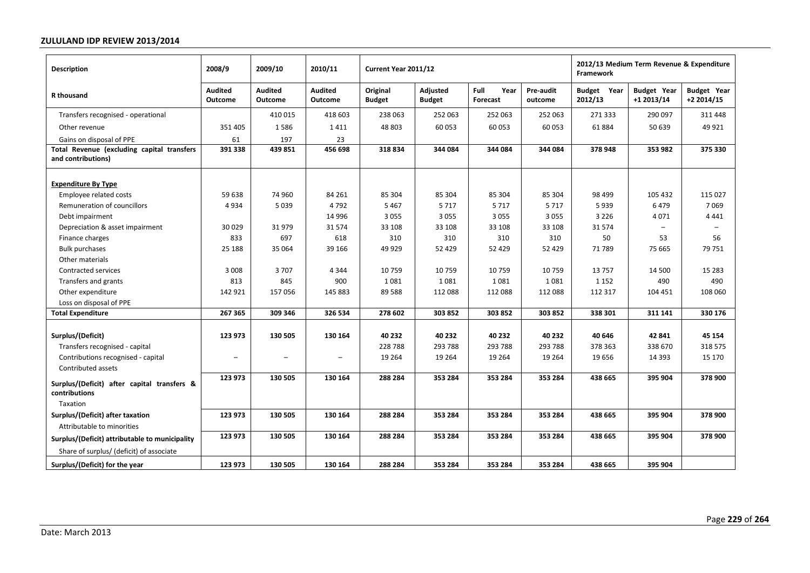| <b>Description</b>                                                                        | 2008/9                              | 2009/10                             | 2010/11                             | Current Year 2011/12        |                              |                              |                              | 2012/13 Medium Term Revenue & Expenditure<br>Framework |                                  |                                   |  |
|-------------------------------------------------------------------------------------------|-------------------------------------|-------------------------------------|-------------------------------------|-----------------------------|------------------------------|------------------------------|------------------------------|--------------------------------------------------------|----------------------------------|-----------------------------------|--|
| R thousand                                                                                | <b>Audited</b><br><b>Outcome</b>    | <b>Audited</b><br><b>Outcome</b>    | <b>Audited</b><br><b>Outcome</b>    | Original<br><b>Budget</b>   | Adjusted<br><b>Budget</b>    | Full<br>Year<br>Forecast     | Pre-audit<br>outcome         | <b>Budget Year</b><br>2012/13                          | <b>Budget Year</b><br>+1 2013/14 | <b>Budget Year</b><br>$+22014/15$ |  |
| Transfers recognised - operational                                                        |                                     | 410 015                             | 418 603                             | 238 063                     | 252 063                      | 252 063                      | 252 063                      | 271 333                                                | 290 097                          | 311 448                           |  |
| Other revenue                                                                             | 351 405                             | 1586                                | 1411                                | 48 803                      | 60 053                       | 60 053                       | 60 053                       | 61884                                                  | 50 639                           | 49 9 21                           |  |
| Gains on disposal of PPE                                                                  | 61                                  | 197                                 | 23                                  |                             |                              |                              |                              |                                                        |                                  |                                   |  |
| Total Revenue (excluding capital transfers<br>and contributions)                          | 391 338                             | 439 851                             | 456 698                             | 318834                      | 344 084                      | 344 084                      | 344 084                      | 378 948                                                | 353 982                          | 375 330                           |  |
| <b>Expenditure By Type</b><br>Employee related costs                                      | 59 638                              | 74 960                              | 84 261                              | 85 304                      | 85 304                       | 85 304                       | 85 304                       | 98 499                                                 | 105 432                          | 115 027                           |  |
| Remuneration of councillors                                                               | 4934                                | 5 0 3 9                             | 4792                                | 5 4 6 7                     | 5717                         | 5717                         | 5717                         | 5939                                                   | 6479                             | 7069                              |  |
| Debt impairment                                                                           |                                     |                                     | 14 9 96                             | 3055                        | 3 0 5 5                      | 3 0 5 5                      | 3 0 5 5                      | 3 2 2 6                                                | 4071                             | 4 4 4 1                           |  |
| Depreciation & asset impairment                                                           | 30 0 29                             | 31979                               | 31574                               | 33 108                      | 33 108                       | 33 108                       | 33 108                       | 31 574                                                 |                                  |                                   |  |
| Finance charges                                                                           | 833                                 | 697                                 | 618                                 | 310                         | 310                          | 310                          | 310                          | 50                                                     | 53                               | 56                                |  |
| <b>Bulk purchases</b>                                                                     | 25 188                              | 35 064                              | 39 166                              | 49 9 29                     | 52 4 29                      | 52 4 29                      | 52 4 29                      | 71 789                                                 | 75 665                           | 79 751                            |  |
| Other materials                                                                           |                                     |                                     |                                     |                             |                              |                              |                              |                                                        |                                  |                                   |  |
| Contracted services                                                                       | 3 0 0 8                             | 3707                                | 4 3 4 4                             | 10759                       | 10759                        | 10759                        | 10759                        | 13757                                                  | 14 500                           | 15 2 8 3                          |  |
| Transfers and grants                                                                      | 813                                 | 845                                 | 900                                 | 1081                        | 1081                         | 1081                         | 1081                         | 1 1 5 2                                                | 490                              | 490                               |  |
| Other expenditure                                                                         | 142 921                             | 157 056                             | 145 883                             | 89 5 88                     | 112 088                      | 112 088                      | 112 088                      | 112 317                                                | 104 451                          | 108 060                           |  |
| Loss on disposal of PPE                                                                   |                                     |                                     |                                     |                             |                              |                              |                              |                                                        |                                  |                                   |  |
| <b>Total Expenditure</b>                                                                  | 267 365                             | 309 346                             | 326 534                             | 278 602                     | 303 852                      | 303 852                      | 303 852                      | 338 301                                                | 311 141                          | 330 176                           |  |
| Surplus/(Deficit)<br>Transfers recognised - capital<br>Contributions recognised - capital | 123 973<br>$\overline{\phantom{0}}$ | 130 505<br>$\overline{\phantom{0}}$ | 130 164<br>$\overline{\phantom{0}}$ | 40 232<br>228788<br>19 2 64 | 40 232<br>293 788<br>19 2 64 | 40 232<br>293 788<br>19 2 64 | 40 232<br>293 788<br>19 2 64 | 40 646<br>378 363<br>19 65 6                           | 42 841<br>338 670<br>14 3 9 3    | 45 154<br>318 575<br>15 170       |  |
| Contributed assets                                                                        | 123 973                             | 130 505                             | 130 164                             | 288 284                     | 353 284                      | 353 284                      | 353 284                      | 438 665                                                | 395 904                          | 378 900                           |  |
| Surplus/(Deficit) after capital transfers &<br>contributions<br>Taxation                  |                                     |                                     |                                     |                             |                              |                              |                              |                                                        |                                  |                                   |  |
| Surplus/(Deficit) after taxation                                                          | 123 973                             | 130 505                             | 130 164                             | 288 284                     | 353 284                      | 353 284                      | 353 284                      | 438 665                                                | 395 904                          | 378 900                           |  |
| Attributable to minorities                                                                |                                     |                                     |                                     |                             |                              |                              |                              |                                                        |                                  |                                   |  |
|                                                                                           | 123 973                             | 130 505                             | 130 164                             | 288 284                     | 353 284                      | 353 284                      | 353 284                      | 438 665                                                | 395 904                          | 378 900                           |  |
| Surplus/(Deficit) attributable to municipality                                            |                                     |                                     |                                     |                             |                              |                              |                              |                                                        |                                  |                                   |  |
| Share of surplus/ (deficit) of associate                                                  |                                     |                                     |                                     |                             |                              |                              |                              |                                                        |                                  |                                   |  |
| Surplus/(Deficit) for the year                                                            | 123 973                             | 130 505                             | 130 164                             | 288 284                     | 353 284                      | 353 284                      | 353 284                      | 438 665                                                | 395 904                          |                                   |  |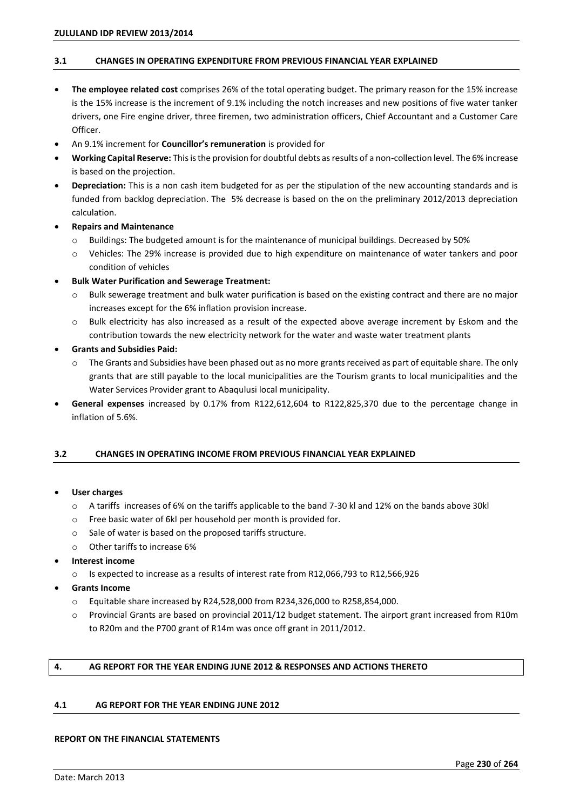# **3.1 CHANGES IN OPERATING EXPENDITURE FROM PREVIOUS FINANCIAL YEAR EXPLAINED**

- **The employee related cost** comprises 26% of the total operating budget. The primary reason for the 15% increase is the 15% increase is the increment of 9.1% including the notch increases and new positions of five water tanker drivers, one Fire engine driver, three firemen, two administration officers, Chief Accountant and a Customer Care Officer.
- An 9.1% increment for **Councillor's remuneration** is provided for
- **Working Capital Reserve:** This is the provision for doubtful debts as results of a non-collection level. The 6% increase is based on the projection.
- **Depreciation:** This is a non cash item budgeted for as per the stipulation of the new accounting standards and is funded from backlog depreciation. The 5% decrease is based on the on the preliminary 2012/2013 depreciation calculation.
- **Repairs and Maintenance** 
	- $\circ$  Buildings: The budgeted amount is for the maintenance of municipal buildings. Decreased by 50%
	- o Vehicles: The 29% increase is provided due to high expenditure on maintenance of water tankers and poor condition of vehicles
- **Bulk Water Purification and Sewerage Treatment:** 
	- o Bulk sewerage treatment and bulk water purification is based on the existing contract and there are no major increases except for the 6% inflation provision increase.
	- o Bulk electricity has also increased as a result of the expected above average increment by Eskom and the contribution towards the new electricity network for the water and waste water treatment plants
- **Grants and Subsidies Paid:** 
	- o The Grants and Subsidies have been phased out as no more grants received as part of equitable share. The only grants that are still payable to the local municipalities are the Tourism grants to local municipalities and the Water Services Provider grant to Abaqulusi local municipality.
- **General expenses** increased by 0.17% from R122,612,604 to R122,825,370 due to the percentage change in inflation of 5.6%.

# **3.2 CHANGES IN OPERATING INCOME FROM PREVIOUS FINANCIAL YEAR EXPLAINED**

### **User charges**

- o A tariffs increases of 6% on the tariffs applicable to the band 7-30 kl and 12% on the bands above 30kl
- o Free basic water of 6kl per household per month is provided for.
- o Sale of water is based on the proposed tariffs structure.
- o Other tariffs to increase 6%
- **Interest income** 
	- o Is expected to increase as a results of interest rate from R12,066,793 to R12,566,926
- **Grants Income** 
	- o Equitable share increased by R24,528,000 from R234,326,000 to R258,854,000.
	- o Provincial Grants are based on provincial 2011/12 budget statement. The airport grant increased from R10m to R20m and the P700 grant of R14m was once off grant in 2011/2012.

## **4. AG REPORT FOR THE YEAR ENDING JUNE 2012 & RESPONSES AND ACTIONS THERETO**

# **4.1 AG REPORT FOR THE YEAR ENDING JUNE 2012**

### **REPORT ON THE FINANCIAL STATEMENTS**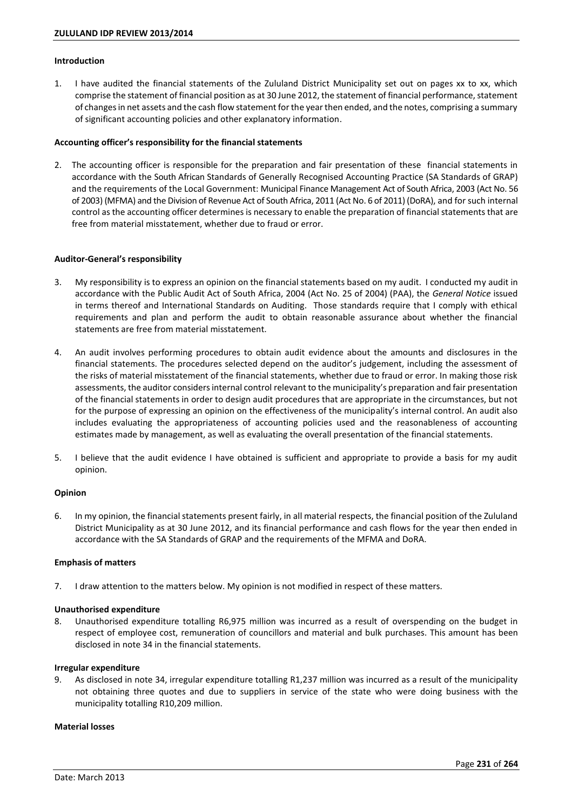## **Introduction**

1. I have audited the financial statements of the Zululand District Municipality set out on pages xx to xx, which comprise the statement of financial position as at 30 June 2012, the statement of financial performance, statement of changes in net assets and the cash flow statement for the year then ended, and the notes, comprising a summary of significant accounting policies and other explanatory information.

#### Accounting officer's responsibility for the financial statements

2. The accounting officer is responsible for the preparation and fair presentation of these financial statements in accordance with the South African Standards of Generally Recognised Accounting Practice (SA Standards of GRAP) and the requirements of the Local Government: Municipal Finance Management Act of South Africa, 2003 (Act No. 56 of 2003) (MFMA) and the Division of Revenue Act of South Africa, 2011 (Act No. 6 of 2011) (DoRA), and for such internal control as the accounting officer determines is necessary to enable the preparation of financial statements that are free from material misstatement, whether due to fraud or error.

#### **Auditor-General's responsibility**

- 3. My responsibility is to express an opinion on the financial statements based on my audit. I conducted my audit in accordance with the Public Audit Act of South Africa, 2004 (Act No. 25 of 2004) (PAA), the *General Notice* issued in terms thereof and International Standards on Auditing. Those standards require that I comply with ethical requirements and plan and perform the audit to obtain reasonable assurance about whether the financial statements are free from material misstatement.
- 4. An audit involves performing procedures to obtain audit evidence about the amounts and disclosures in the financial statements. The procedures selected depend on the auditor's judgement, including the assessment of the risks of material misstatement of the financial statements, whether due to fraud or error. In making those risk assessments, the auditor considers internal control relevant to the municipality's preparation and fair presentation of the financial statements in order to design audit procedures that are appropriate in the circumstances, but not for the purpose of expressing an opinion on the effectiveness of the municipality's internal control. An audit also includes evaluating the appropriateness of accounting policies used and the reasonableness of accounting estimates made by management, as well as evaluating the overall presentation of the financial statements.
- 5. I believe that the audit evidence I have obtained is sufficient and appropriate to provide a basis for my audit opinion.

### **Opinion**

6. In my opinion, the financial statements present fairly, in all material respects, the financial position of the Zululand District Municipality as at 30 June 2012, and its financial performance and cash flows for the year then ended in accordance with the SA Standards of GRAP and the requirements of the MFMA and DoRA.

### **Emphasis of matters**

7. I draw attention to the matters below. My opinion is not modified in respect of these matters.

### **Unauthorised expenditure**

8. Unauthorised expenditure totalling R6,975 million was incurred as a result of overspending on the budget in respect of employee cost, remuneration of councillors and material and bulk purchases. This amount has been disclosed in note 34 in the financial statements.

#### **Irregular expenditure**

9. As disclosed in note 34, irregular expenditure totalling R1,237 million was incurred as a result of the municipality not obtaining three quotes and due to suppliers in service of the state who were doing business with the municipality totalling R10,209 million.

#### **Material losses**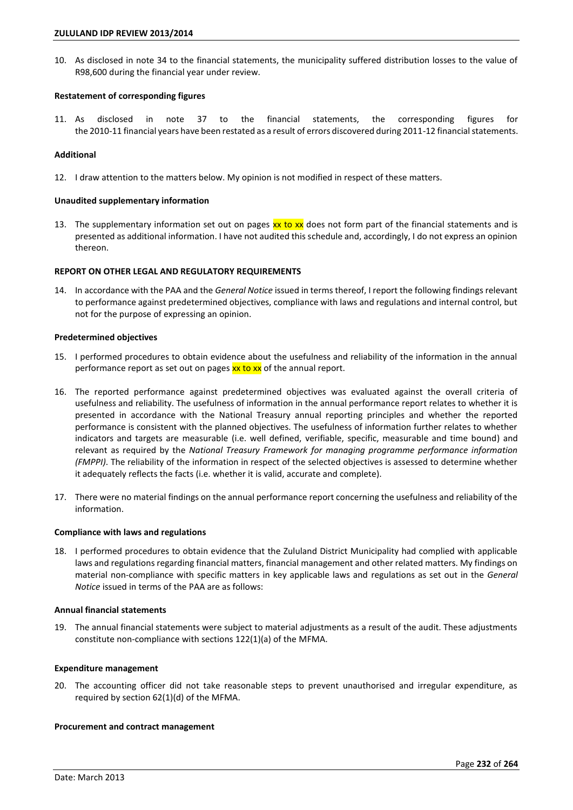10. As disclosed in note 34 to the financial statements, the municipality suffered distribution losses to the value of R98,600 during the financial year under review.

## **Restatement of corresponding figures**

11. As disclosed in note 37 to the financial statements, the corresponding figures for the 2010-11 financial years have been restated as a result of errors discovered during 2011-12 financial statements.

# **Additional**

12. I draw attention to the matters below. My opinion is not modified in respect of these matters.

## **Unaudited supplementary information**

13. The supplementary information set out on pages xx to xx does not form part of the financial statements and is presented as additional information. I have not audited this schedule and, accordingly, I do not express an opinion thereon.

## **REPORT ON OTHER LEGAL AND REGULATORY REQUIREMENTS**

14. In accordance with the PAA and the *General Notice* issued in terms thereof, I report the following findings relevant to performance against predetermined objectives, compliance with laws and regulations and internal control, but not for the purpose of expressing an opinion.

### **Predetermined objectives**

- 15. I performed procedures to obtain evidence about the usefulness and reliability of the information in the annual performance report as set out on pages xx to xx of the annual report.
- 16. The reported performance against predetermined objectives was evaluated against the overall criteria of usefulness and reliability. The usefulness of information in the annual performance report relates to whether it is presented in accordance with the National Treasury annual reporting principles and whether the reported performance is consistent with the planned objectives. The usefulness of information further relates to whether indicators and targets are measurable (i.e. well defined, verifiable, specific, measurable and time bound) and relevant as required by the *National Treasury Framework for managing programme performance information (FMPPI)*. The reliability of the information in respect of the selected objectives is assessed to determine whether it adequately reflects the facts (i.e. whether it is valid, accurate and complete).
- 17. There were no material findings on the annual performance report concerning the usefulness and reliability of the information.

### **Compliance with laws and regulations**

18. I performed procedures to obtain evidence that the Zululand District Municipality had complied with applicable laws and regulations regarding financial matters, financial management and other related matters. My findings on material non-compliance with specific matters in key applicable laws and regulations as set out in the *General Notice* issued in terms of the PAA are as follows:

### **Annual financial statements**

19. The annual financial statements were subject to material adjustments as a result of the audit. These adjustments constitute non-compliance with sections 122(1)(a) of the MFMA.

### **Expenditure management**

20. The accounting officer did not take reasonable steps to prevent unauthorised and irregular expenditure, as required by section 62(1)(d) of the MFMA.

### **Procurement and contract management**